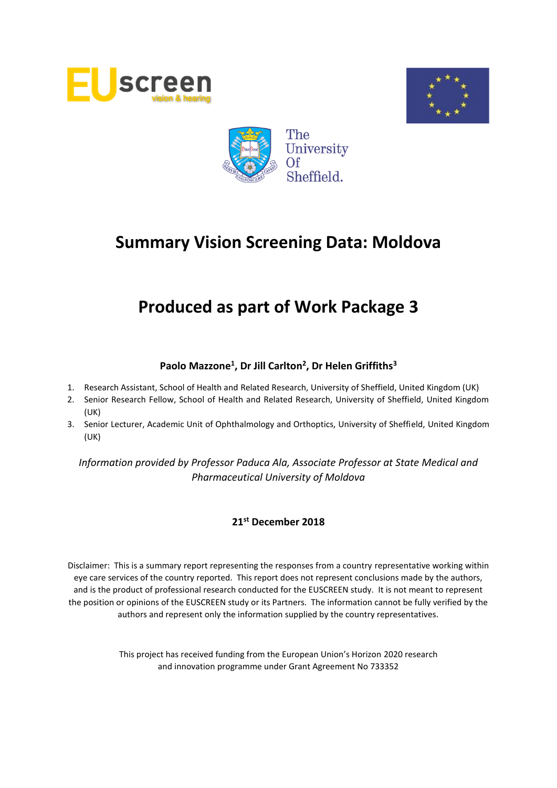





# **Produced as part of Work Package 3**

# **Paolo Mazzone<sup>1</sup> , Dr Jill Carlton<sup>2</sup> , Dr Helen Griffiths<sup>3</sup>**

- 1. Research Assistant, School of Health and Related Research, University of Sheffield, United Kingdom (UK)
- 2. Senior Research Fellow, School of Health and Related Research, University of Sheffield, United Kingdom (UK)
- 3. Senior Lecturer, Academic Unit of Ophthalmology and Orthoptics, University of Sheffield, United Kingdom (UK)

*Information provided by Professor Paduca Ala, Associate Professor at State Medical and Pharmaceutical University of Moldova*

### **21st December 2018**

Disclaimer: This is a summary report representing the responses from a country representative working within eye care services of the country reported. This report does not represent conclusions made by the authors, and is the product of professional research conducted for the EUSCREEN study. It is not meant to represent the position or opinions of the EUSCREEN study or its Partners. The information cannot be fully verified by the authors and represent only the information supplied by the country representatives.

> This project has received funding from the European Union's Horizon 2020 research and innovation programme under Grant Agreement No 733352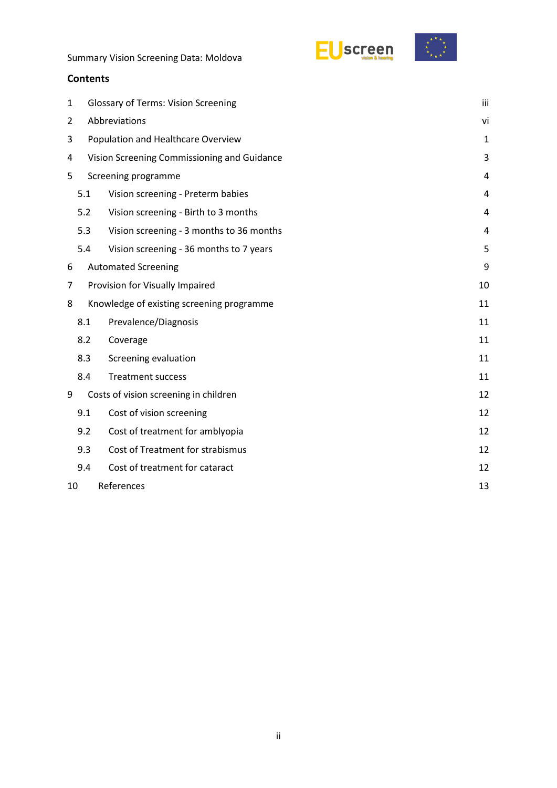EUscreen



Summary Vision Screening Data: Moldova

### **Contents**

| 1                                    | <b>Glossary of Terms: Vision Screening</b>  |                                           |              |  |  |  |
|--------------------------------------|---------------------------------------------|-------------------------------------------|--------------|--|--|--|
| 2                                    | Abbreviations                               |                                           |              |  |  |  |
| 3                                    |                                             | Population and Healthcare Overview        | $\mathbf{1}$ |  |  |  |
| 4                                    | Vision Screening Commissioning and Guidance |                                           |              |  |  |  |
| 5                                    | Screening programme                         |                                           |              |  |  |  |
|                                      | 5.1                                         | Vision screening - Preterm babies         | 4            |  |  |  |
|                                      | 5.2                                         | Vision screening - Birth to 3 months      | 4            |  |  |  |
|                                      | 5.3                                         | Vision screening - 3 months to 36 months  | 4            |  |  |  |
|                                      | 5.4                                         | Vision screening - 36 months to 7 years   | 5            |  |  |  |
| 6                                    |                                             | <b>Automated Screening</b>                | 9            |  |  |  |
| 7<br>Provision for Visually Impaired |                                             |                                           |              |  |  |  |
| 8                                    |                                             | Knowledge of existing screening programme | 11           |  |  |  |
|                                      | 8.1                                         | Prevalence/Diagnosis                      | 11           |  |  |  |
|                                      | 8.2                                         | Coverage                                  | 11           |  |  |  |
|                                      | 8.3                                         | Screening evaluation                      | 11           |  |  |  |
|                                      | 8.4                                         | <b>Treatment success</b>                  | 11           |  |  |  |
| 9                                    |                                             | Costs of vision screening in children     | 12           |  |  |  |
|                                      | 9.1                                         | Cost of vision screening                  | 12           |  |  |  |
|                                      | 9.2                                         | Cost of treatment for amblyopia           | 12           |  |  |  |
|                                      | 9.3                                         | Cost of Treatment for strabismus          | 12           |  |  |  |
|                                      | 9.4                                         | Cost of treatment for cataract            | 12           |  |  |  |
| 10                                   | References<br>13                            |                                           |              |  |  |  |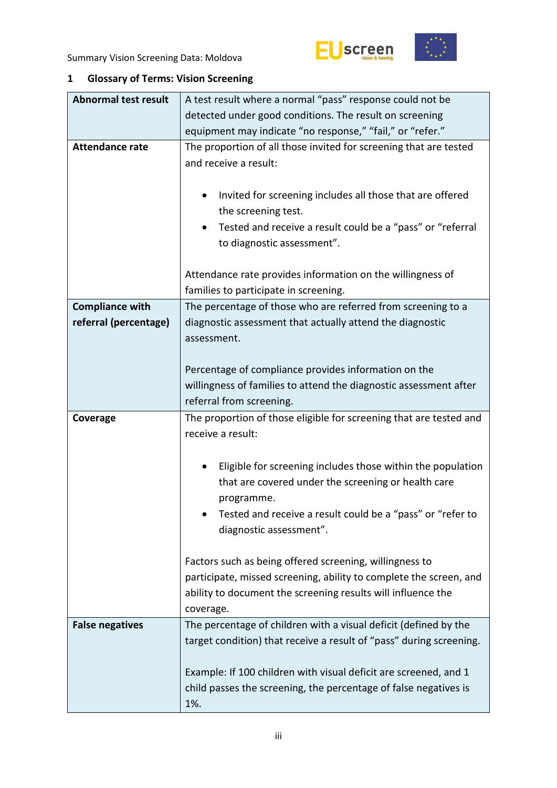



# <span id="page-2-0"></span>**1 Glossary of Terms: Vision Screening**

| <b>Abnormal test result</b> | A test result where a normal "pass" response could not be                                                                                                                                                  |  |  |  |  |  |  |  |
|-----------------------------|------------------------------------------------------------------------------------------------------------------------------------------------------------------------------------------------------------|--|--|--|--|--|--|--|
|                             | detected under good conditions. The result on screening                                                                                                                                                    |  |  |  |  |  |  |  |
|                             | equipment may indicate "no response," "fail," or "refer."                                                                                                                                                  |  |  |  |  |  |  |  |
| <b>Attendance rate</b>      | The proportion of all those invited for screening that are tested<br>and receive a result:                                                                                                                 |  |  |  |  |  |  |  |
|                             | Invited for screening includes all those that are offered<br>the screening test.                                                                                                                           |  |  |  |  |  |  |  |
|                             | Tested and receive a result could be a "pass" or "referral<br>to diagnostic assessment".                                                                                                                   |  |  |  |  |  |  |  |
|                             | Attendance rate provides information on the willingness of<br>families to participate in screening.                                                                                                        |  |  |  |  |  |  |  |
| <b>Compliance with</b>      | The percentage of those who are referred from screening to a                                                                                                                                               |  |  |  |  |  |  |  |
| referral (percentage)       | diagnostic assessment that actually attend the diagnostic<br>assessment.                                                                                                                                   |  |  |  |  |  |  |  |
|                             | Percentage of compliance provides information on the                                                                                                                                                       |  |  |  |  |  |  |  |
|                             | willingness of families to attend the diagnostic assessment after                                                                                                                                          |  |  |  |  |  |  |  |
|                             | referral from screening.                                                                                                                                                                                   |  |  |  |  |  |  |  |
|                             |                                                                                                                                                                                                            |  |  |  |  |  |  |  |
| Coverage                    | The proportion of those eligible for screening that are tested and<br>receive a result:                                                                                                                    |  |  |  |  |  |  |  |
|                             | Eligible for screening includes those within the population<br>that are covered under the screening or health care<br>programme.                                                                           |  |  |  |  |  |  |  |
|                             | Tested and receive a result could be a "pass" or "refer to<br>diagnostic assessment".                                                                                                                      |  |  |  |  |  |  |  |
|                             | Factors such as being offered screening, willingness to<br>participate, missed screening, ability to complete the screen, and<br>ability to document the screening results will influence the<br>coverage. |  |  |  |  |  |  |  |
| <b>False negatives</b>      | The percentage of children with a visual deficit (defined by the<br>target condition) that receive a result of "pass" during screening.                                                                    |  |  |  |  |  |  |  |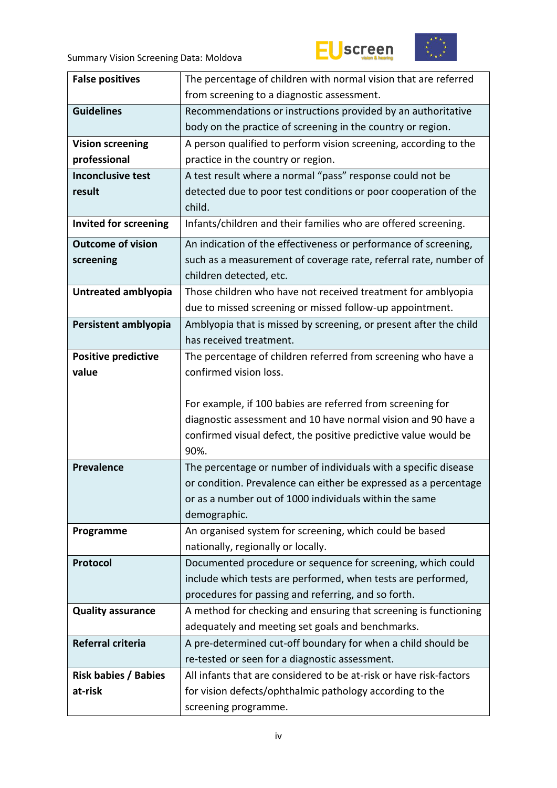



| <b>False positives</b>       | The percentage of children with normal vision that are referred                                                      |  |  |  |  |  |
|------------------------------|----------------------------------------------------------------------------------------------------------------------|--|--|--|--|--|
|                              | from screening to a diagnostic assessment.                                                                           |  |  |  |  |  |
| <b>Guidelines</b>            | Recommendations or instructions provided by an authoritative                                                         |  |  |  |  |  |
|                              | body on the practice of screening in the country or region.                                                          |  |  |  |  |  |
| <b>Vision screening</b>      | A person qualified to perform vision screening, according to the                                                     |  |  |  |  |  |
| professional                 | practice in the country or region.                                                                                   |  |  |  |  |  |
| <b>Inconclusive test</b>     | A test result where a normal "pass" response could not be                                                            |  |  |  |  |  |
| result                       | detected due to poor test conditions or poor cooperation of the                                                      |  |  |  |  |  |
|                              | child.                                                                                                               |  |  |  |  |  |
| <b>Invited for screening</b> | Infants/children and their families who are offered screening.                                                       |  |  |  |  |  |
| <b>Outcome of vision</b>     | An indication of the effectiveness or performance of screening,                                                      |  |  |  |  |  |
| screening                    | such as a measurement of coverage rate, referral rate, number of                                                     |  |  |  |  |  |
|                              | children detected, etc.                                                                                              |  |  |  |  |  |
| Untreated amblyopia          | Those children who have not received treatment for amblyopia                                                         |  |  |  |  |  |
|                              | due to missed screening or missed follow-up appointment.                                                             |  |  |  |  |  |
| Persistent amblyopia         | Amblyopia that is missed by screening, or present after the child                                                    |  |  |  |  |  |
|                              | has received treatment.                                                                                              |  |  |  |  |  |
| <b>Positive predictive</b>   | The percentage of children referred from screening who have a                                                        |  |  |  |  |  |
| value                        | confirmed vision loss.                                                                                               |  |  |  |  |  |
|                              |                                                                                                                      |  |  |  |  |  |
|                              | For example, if 100 babies are referred from screening for                                                           |  |  |  |  |  |
|                              | diagnostic assessment and 10 have normal vision and 90 have a                                                        |  |  |  |  |  |
|                              | confirmed visual defect, the positive predictive value would be                                                      |  |  |  |  |  |
|                              | 90%.                                                                                                                 |  |  |  |  |  |
| <b>Prevalence</b>            | The percentage or number of individuals with a specific disease                                                      |  |  |  |  |  |
|                              | or condition. Prevalence can either be expressed as a percentage                                                     |  |  |  |  |  |
|                              | or as a number out of 1000 individuals within the same                                                               |  |  |  |  |  |
|                              | demographic.                                                                                                         |  |  |  |  |  |
| Programme                    | An organised system for screening, which could be based                                                              |  |  |  |  |  |
|                              | nationally, regionally or locally.                                                                                   |  |  |  |  |  |
| Protocol                     | Documented procedure or sequence for screening, which could                                                          |  |  |  |  |  |
|                              | include which tests are performed, when tests are performed,<br>procedures for passing and referring, and so forth.  |  |  |  |  |  |
|                              |                                                                                                                      |  |  |  |  |  |
| <b>Quality assurance</b>     | A method for checking and ensuring that screening is functioning                                                     |  |  |  |  |  |
| Referral criteria            | adequately and meeting set goals and benchmarks.                                                                     |  |  |  |  |  |
|                              | A pre-determined cut-off boundary for when a child should be                                                         |  |  |  |  |  |
|                              | re-tested or seen for a diagnostic assessment.<br>All infants that are considered to be at-risk or have risk-factors |  |  |  |  |  |
| <b>Risk babies / Babies</b>  |                                                                                                                      |  |  |  |  |  |
| at-risk                      | for vision defects/ophthalmic pathology according to the                                                             |  |  |  |  |  |
|                              | screening programme.                                                                                                 |  |  |  |  |  |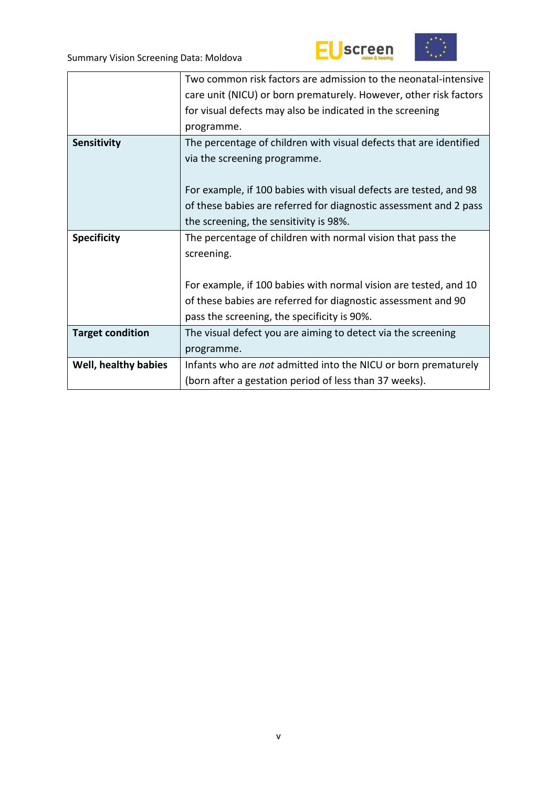



|                         | Two common risk factors are admission to the neonatal-intensive    |
|-------------------------|--------------------------------------------------------------------|
|                         | care unit (NICU) or born prematurely. However, other risk factors  |
|                         | for visual defects may also be indicated in the screening          |
|                         | programme.                                                         |
| <b>Sensitivity</b>      | The percentage of children with visual defects that are identified |
|                         | via the screening programme.                                       |
|                         |                                                                    |
|                         | For example, if 100 babies with visual defects are tested, and 98  |
|                         | of these babies are referred for diagnostic assessment and 2 pass  |
|                         | the screening, the sensitivity is 98%.                             |
| <b>Specificity</b>      | The percentage of children with normal vision that pass the        |
|                         | screening.                                                         |
|                         |                                                                    |
|                         | For example, if 100 babies with normal vision are tested, and 10   |
|                         | of these babies are referred for diagnostic assessment and 90      |
|                         | pass the screening, the specificity is 90%.                        |
| <b>Target condition</b> | The visual defect you are aiming to detect via the screening       |
|                         | programme.                                                         |
| Well, healthy babies    | Infants who are not admitted into the NICU or born prematurely     |
|                         | (born after a gestation period of less than 37 weeks).             |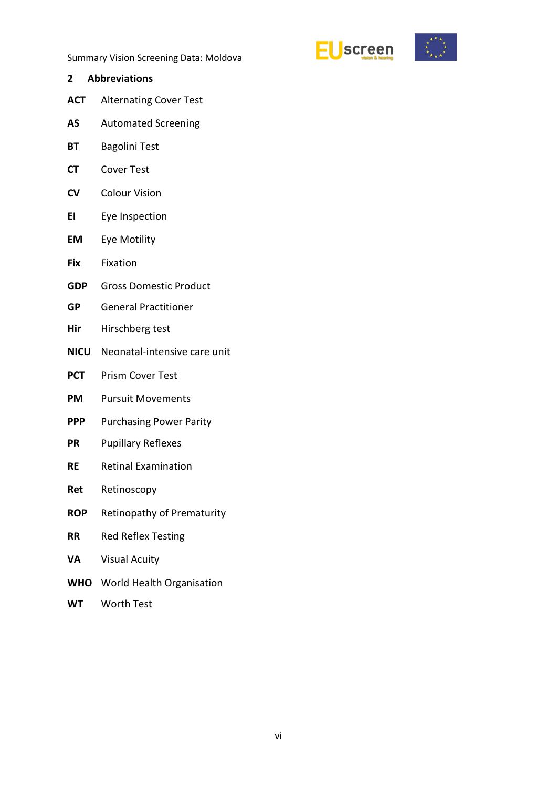



- <span id="page-5-0"></span>**2 Abbreviations**
- **ACT** Alternating Cover Test
- **AS** Automated Screening
- **BT** Bagolini Test
- **CT** Cover Test
- **CV** Colour Vision
- **EI** Eye Inspection
- **EM** Eye Motility
- **Fix** Fixation
- **GDP** Gross Domestic Product
- **GP** General Practitioner
- **Hir** Hirschberg test
- **NICU** Neonatal-intensive care unit
- **PCT** Prism Cover Test
- **PM** Pursuit Movements
- **PPP** Purchasing Power Parity
- **PR** Pupillary Reflexes
- **RE** Retinal Examination
- **Ret** Retinoscopy
- **ROP** Retinopathy of Prematurity
- **RR** Red Reflex Testing
- **VA** Visual Acuity
- **WHO** World Health Organisation
- **WT** Worth Test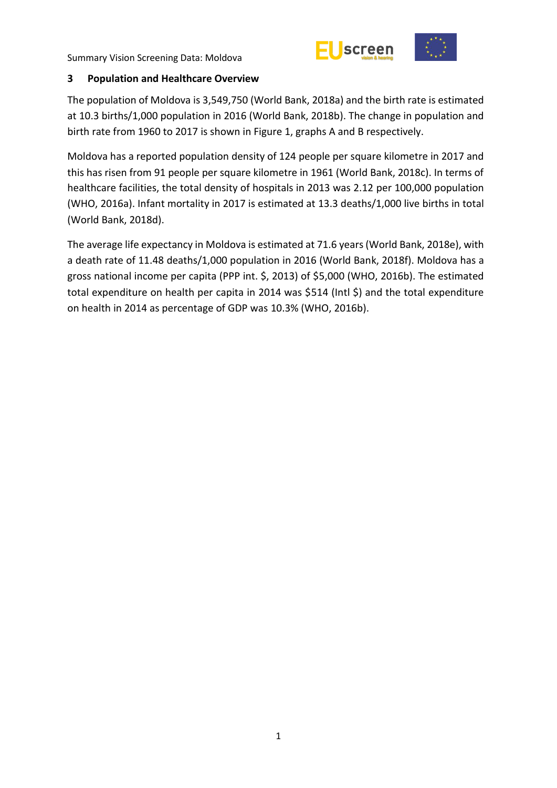



### <span id="page-6-0"></span>**3 Population and Healthcare Overview**

The population of Moldova is 3,549,750 (World Bank, 2018a) and the birth rate is estimated at 10.3 births/1,000 population in 2016 (World Bank, 2018b). The change in population and birth rate from 1960 to 2017 is shown in Figure 1, graphs A and B respectively.

Moldova has a reported population density of 124 people per square kilometre in 2017 and this has risen from 91 people per square kilometre in 1961 (World Bank, 2018c). In terms of healthcare facilities, the total density of hospitals in 2013 was 2.12 per 100,000 population (WHO, 2016a). Infant mortality in 2017 is estimated at 13.3 deaths/1,000 live births in total (World Bank, 2018d).

The average life expectancy in Moldova is estimated at 71.6 years(World Bank, 2018e), with a death rate of 11.48 deaths/1,000 population in 2016 (World Bank, 2018f). Moldova has a gross national income per capita (PPP int. \$, 2013) of \$5,000 (WHO, 2016b). The estimated total expenditure on health per capita in 2014 was \$514 (Intl \$) and the total expenditure on health in 2014 as percentage of GDP was 10.3% (WHO, 2016b).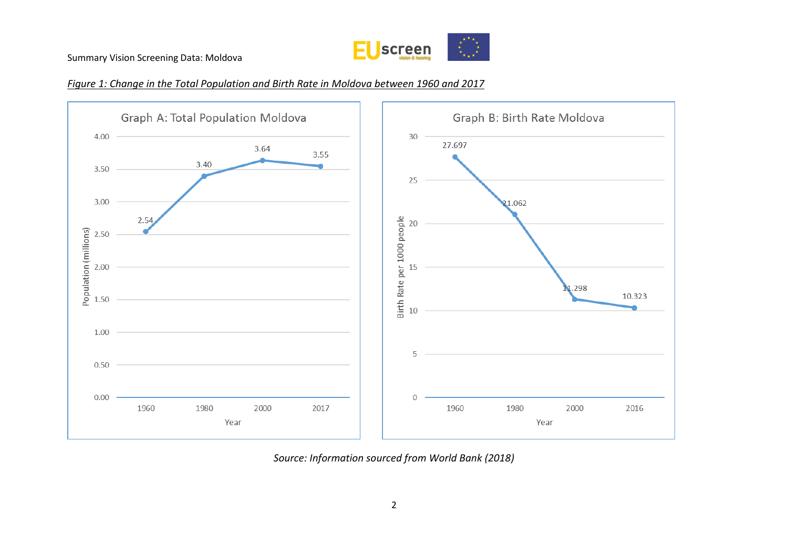





*Source: Information sourced from World Bank (2018)*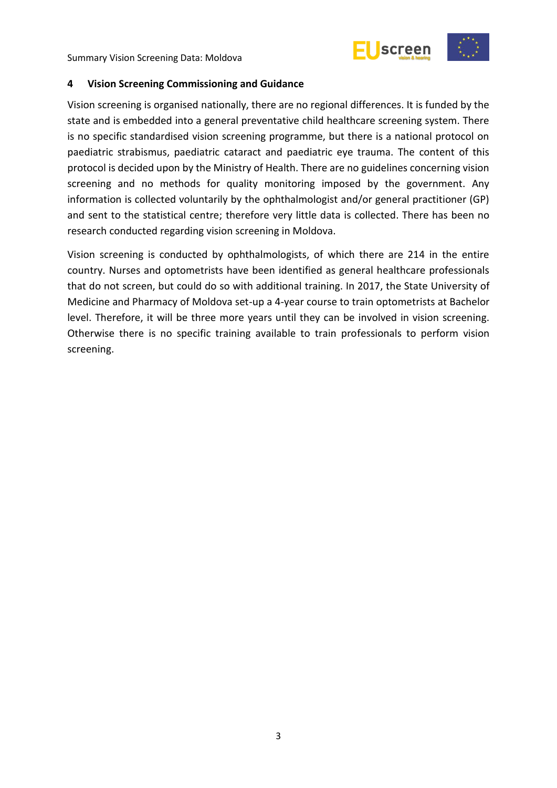



### <span id="page-8-0"></span>**4 Vision Screening Commissioning and Guidance**

Vision screening is organised nationally, there are no regional differences. It is funded by the state and is embedded into a general preventative child healthcare screening system. There is no specific standardised vision screening programme, but there is a national protocol on paediatric strabismus, paediatric cataract and paediatric eye trauma. The content of this protocol is decided upon by the Ministry of Health. There are no guidelines concerning vision screening and no methods for quality monitoring imposed by the government. Any information is collected voluntarily by the ophthalmologist and/or general practitioner (GP) and sent to the statistical centre; therefore very little data is collected. There has been no research conducted regarding vision screening in Moldova.

Vision screening is conducted by ophthalmologists, of which there are 214 in the entire country. Nurses and optometrists have been identified as general healthcare professionals that do not screen, but could do so with additional training. In 2017, the State University of Medicine and Pharmacy of Moldova set-up a 4-year course to train optometrists at Bachelor level. Therefore, it will be three more years until they can be involved in vision screening. Otherwise there is no specific training available to train professionals to perform vision screening.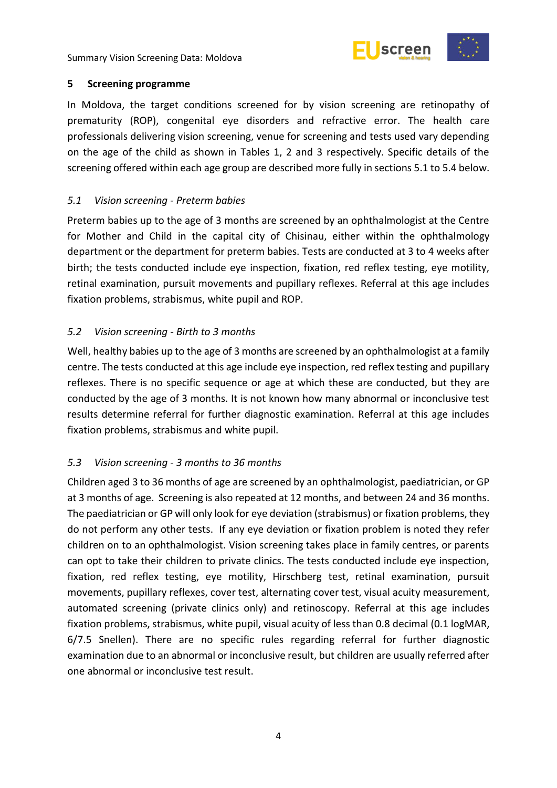



### <span id="page-9-0"></span>**5 Screening programme**

In Moldova, the target conditions screened for by vision screening are retinopathy of prematurity (ROP), congenital eye disorders and refractive error. The health care professionals delivering vision screening, venue for screening and tests used vary depending on the age of the child as shown in Tables 1, 2 and 3 respectively. Specific details of the screening offered within each age group are described more fully in sections 5.1 to 5.4 below.

# <span id="page-9-1"></span>*5.1 Vision screening - Preterm babies*

Preterm babies up to the age of 3 months are screened by an ophthalmologist at the Centre for Mother and Child in the capital city of Chisinau, either within the ophthalmology department or the department for preterm babies. Tests are conducted at 3 to 4 weeks after birth; the tests conducted include eye inspection, fixation, red reflex testing, eye motility, retinal examination, pursuit movements and pupillary reflexes. Referral at this age includes fixation problems, strabismus, white pupil and ROP.

# <span id="page-9-2"></span>*5.2 Vision screening - Birth to 3 months*

Well, healthy babies up to the age of 3 months are screened by an ophthalmologist at a family centre. The tests conducted at this age include eye inspection, red reflex testing and pupillary reflexes. There is no specific sequence or age at which these are conducted, but they are conducted by the age of 3 months. It is not known how many abnormal or inconclusive test results determine referral for further diagnostic examination. Referral at this age includes fixation problems, strabismus and white pupil.

# <span id="page-9-3"></span>*5.3 Vision screening - 3 months to 36 months*

Children aged 3 to 36 months of age are screened by an ophthalmologist, paediatrician, or GP at 3 months of age. Screening is also repeated at 12 months, and between 24 and 36 months. The paediatrician or GP will only look for eye deviation (strabismus) or fixation problems, they do not perform any other tests. If any eye deviation or fixation problem is noted they refer children on to an ophthalmologist. Vision screening takes place in family centres, or parents can opt to take their children to private clinics. The tests conducted include eye inspection, fixation, red reflex testing, eye motility, Hirschberg test, retinal examination, pursuit movements, pupillary reflexes, cover test, alternating cover test, visual acuity measurement, automated screening (private clinics only) and retinoscopy. Referral at this age includes fixation problems, strabismus, white pupil, visual acuity of less than 0.8 decimal (0.1 logMAR, 6/7.5 Snellen). There are no specific rules regarding referral for further diagnostic examination due to an abnormal or inconclusive result, but children are usually referred after one abnormal or inconclusive test result.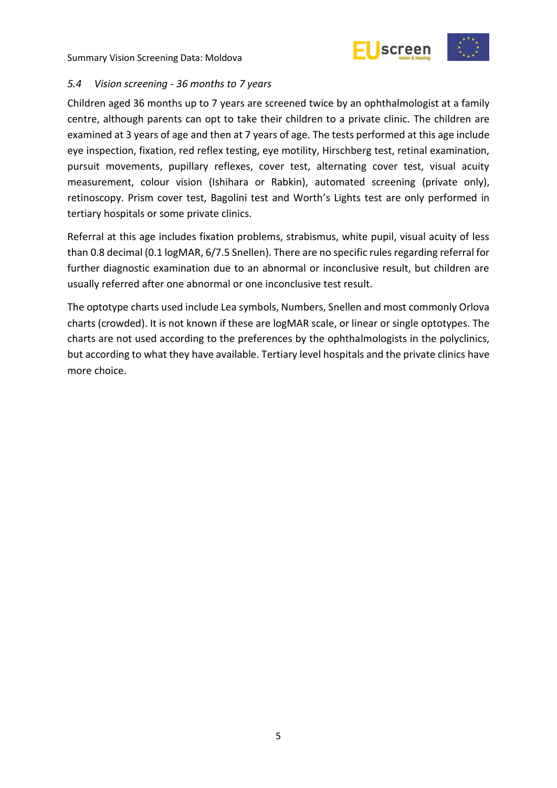



### <span id="page-10-0"></span>*5.4 Vision screening - 36 months to 7 years*

Children aged 36 months up to 7 years are screened twice by an ophthalmologist at a family centre, although parents can opt to take their children to a private clinic. The children are examined at 3 years of age and then at 7 years of age. The tests performed at this age include eye inspection, fixation, red reflex testing, eye motility, Hirschberg test, retinal examination, pursuit movements, pupillary reflexes, cover test, alternating cover test, visual acuity measurement, colour vision (Ishihara or Rabkin), automated screening (private only), retinoscopy. Prism cover test, Bagolini test and Worth's Lights test are only performed in tertiary hospitals or some private clinics.

Referral at this age includes fixation problems, strabismus, white pupil, visual acuity of less than 0.8 decimal (0.1 logMAR, 6/7.5 Snellen). There are no specific rules regarding referral for further diagnostic examination due to an abnormal or inconclusive result, but children are usually referred after one abnormal or one inconclusive test result.

The optotype charts used include Lea symbols, Numbers, Snellen and most commonly Orlova charts (crowded). It is not known if these are logMAR scale, or linear or single optotypes. The charts are not used according to the preferences by the ophthalmologists in the polyclinics, but according to what they have available. Tertiary level hospitals and the private clinics have more choice.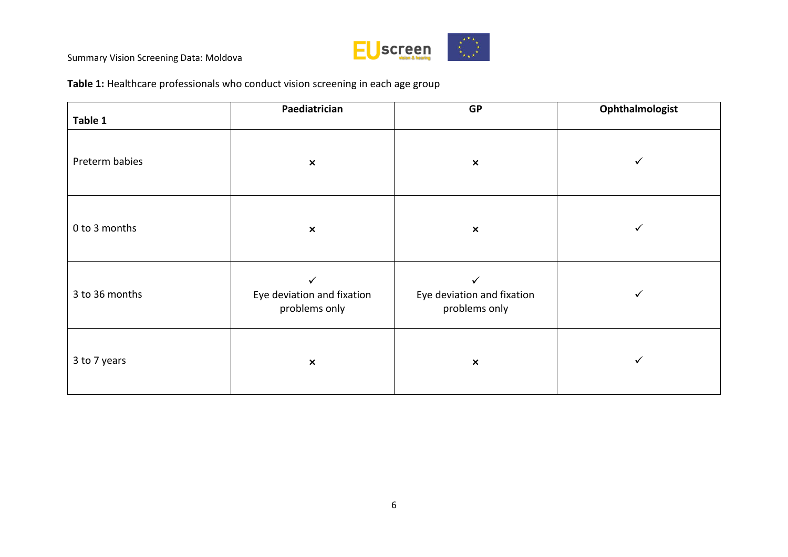

**Table 1:** Healthcare professionals who conduct vision screening in each age group

| Table 1        | Paediatrician                                               | <b>GP</b>                                                   | Ophthalmologist |
|----------------|-------------------------------------------------------------|-------------------------------------------------------------|-----------------|
| Preterm babies | $\pmb{\times}$                                              | $\pmb{\times}$                                              | ✓               |
| 0 to 3 months  | $\pmb{\times}$                                              | $\pmb{\times}$                                              | ✓               |
| 3 to 36 months | $\checkmark$<br>Eye deviation and fixation<br>problems only | $\checkmark$<br>Eye deviation and fixation<br>problems only | ✓               |
| 3 to 7 years   | $\pmb{\times}$                                              | $\pmb{\times}$                                              | ✓               |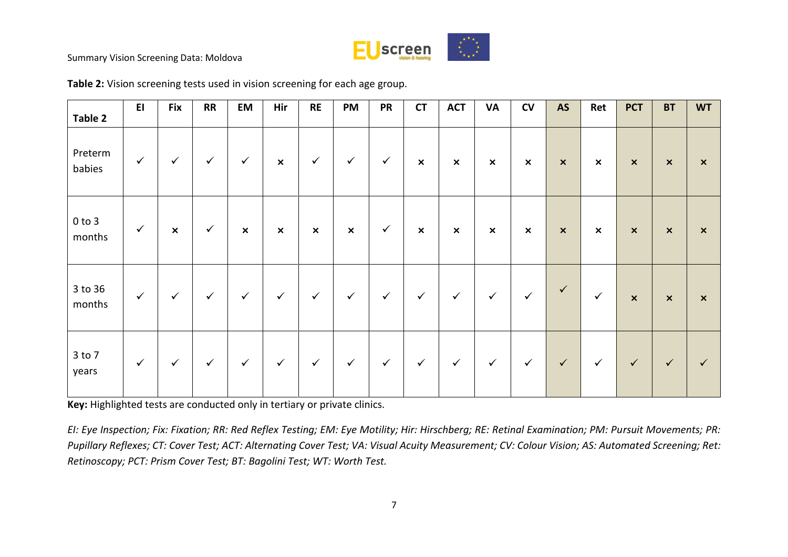

| Table 2              | E1           | <b>Fix</b>     | <b>RR</b>    | EM                        | Hir                       | <b>RE</b>      | <b>PM</b>                 | <b>PR</b>    | <b>CT</b>                 | <b>ACT</b>                | <b>VA</b>                 | CV                        | <b>AS</b>                 | Ret                       | <b>PCT</b>                | <b>BT</b>      | <b>WT</b>                 |
|----------------------|--------------|----------------|--------------|---------------------------|---------------------------|----------------|---------------------------|--------------|---------------------------|---------------------------|---------------------------|---------------------------|---------------------------|---------------------------|---------------------------|----------------|---------------------------|
| Preterm<br>babies    | $\checkmark$ | $\checkmark$   | $\checkmark$ | $\checkmark$              | $\pmb{\times}$            | $\checkmark$   | $\checkmark$              | $\checkmark$ | $\pmb{\times}$            | $\pmb{\times}$            | $\boldsymbol{\mathsf{x}}$ | $\boldsymbol{\mathsf{x}}$ | $\boldsymbol{\mathsf{x}}$ | $\boldsymbol{\mathsf{x}}$ | $\boldsymbol{\mathsf{x}}$ | $\pmb{\times}$ | $\boldsymbol{\mathsf{x}}$ |
| $0$ to $3$<br>months | $\checkmark$ | $\pmb{\times}$ | $\checkmark$ | $\boldsymbol{\mathsf{x}}$ | $\boldsymbol{\mathsf{x}}$ | $\pmb{\times}$ | $\boldsymbol{\mathsf{x}}$ | $\checkmark$ | $\boldsymbol{\mathsf{x}}$ | $\boldsymbol{\mathsf{x}}$ | $\boldsymbol{\mathsf{x}}$ | $\boldsymbol{\mathsf{x}}$ | $\boldsymbol{\mathsf{x}}$ | $\boldsymbol{\mathsf{x}}$ | $\boldsymbol{\mathsf{x}}$ | $\pmb{\times}$ | $\mathsf{x}$              |
| 3 to 36<br>months    | $\checkmark$ | $\checkmark$   | $\checkmark$ | $\checkmark$              | $\checkmark$              | $\checkmark$   | $\checkmark$              | $\checkmark$ | $\checkmark$              | $\checkmark$              | $\checkmark$              | $\checkmark$              | $\checkmark$              | $\checkmark$              | $\boldsymbol{\mathsf{x}}$ | $\pmb{\times}$ | $\mathsf{x}$              |
| 3 to 7<br>years      | $\checkmark$ | $\checkmark$   | $\checkmark$ | $\checkmark$              | $\checkmark$              | $\checkmark$   | $\checkmark$              | $\checkmark$ | $\checkmark$              | $\checkmark$              | $\checkmark$              | $\checkmark$              | $\checkmark$              | $\checkmark$              | $\checkmark$              | $\checkmark$   | $\checkmark$              |

**Table 2:** Vision screening tests used in vision screening for each age group.

**Key:** Highlighted tests are conducted only in tertiary or private clinics.

*EI: Eye Inspection; Fix: Fixation; RR: Red Reflex Testing; EM: Eye Motility; Hir: Hirschberg; RE: Retinal Examination; PM: Pursuit Movements; PR: Pupillary Reflexes; CT: Cover Test; ACT: Alternating Cover Test; VA: Visual Acuity Measurement; CV: Colour Vision; AS: Automated Screening; Ret: Retinoscopy; PCT: Prism Cover Test; BT: Bagolini Test; WT: Worth Test.*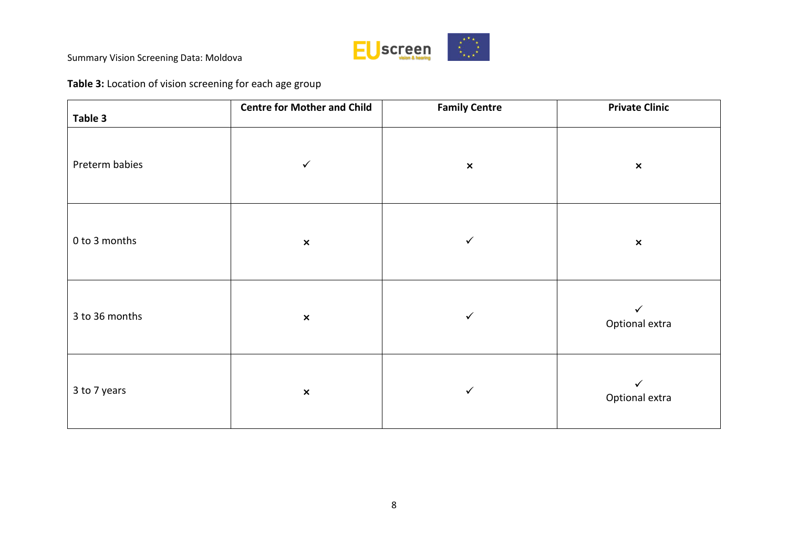

# **Table 3:** Location of vision screening for each age group

| Table 3        | <b>Centre for Mother and Child</b> | <b>Family Centre</b> | <b>Private Clinic</b>          |
|----------------|------------------------------------|----------------------|--------------------------------|
| Preterm babies | $\checkmark$                       | $\pmb{\times}$       | $\pmb{\times}$                 |
| 0 to 3 months  | $\pmb{\times}$                     | $\checkmark$         | $\pmb{\times}$                 |
| 3 to 36 months | $\pmb{\times}$                     | $\checkmark$         | $\checkmark$<br>Optional extra |
| 3 to 7 years   | $\pmb{\times}$                     | $\checkmark$         | ✓<br>Optional extra            |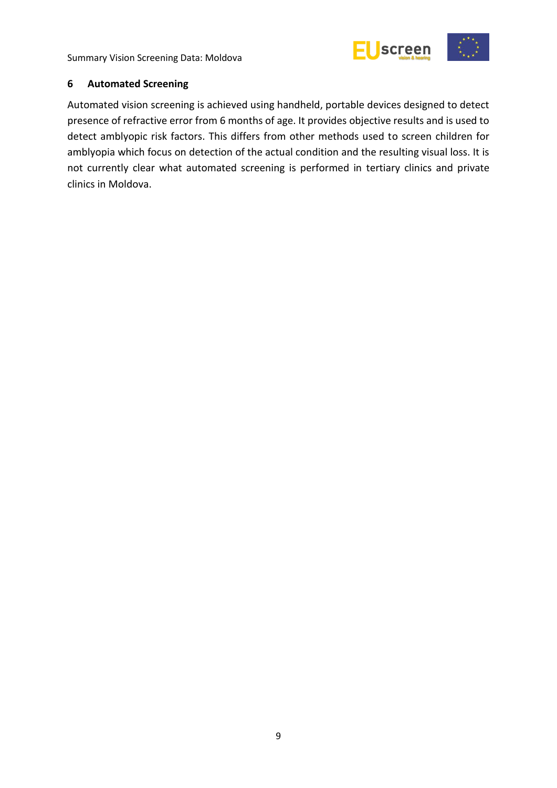

### <span id="page-14-0"></span>**6 Automated Screening**

Automated vision screening is achieved using handheld, portable devices designed to detect presence of refractive error from 6 months of age. It provides objective results and is used to detect amblyopic risk factors. This differs from other methods used to screen children for amblyopia which focus on detection of the actual condition and the resulting visual loss. It is not currently clear what automated screening is performed in tertiary clinics and private clinics in Moldova.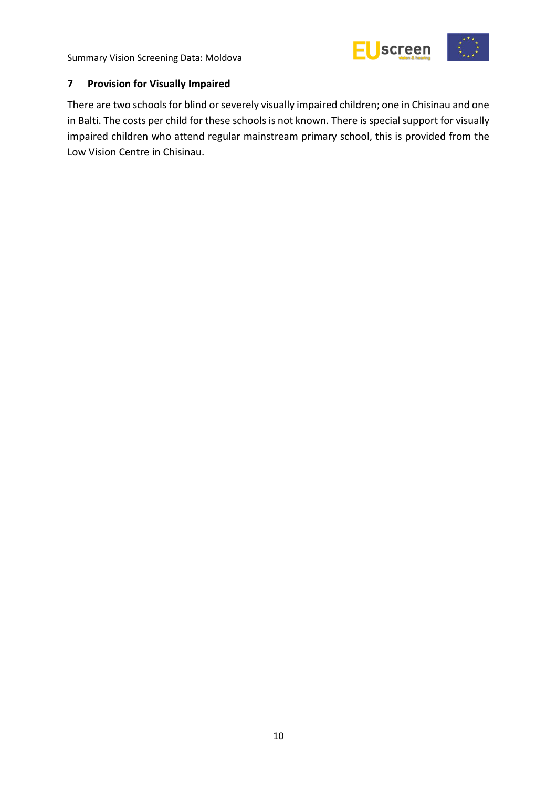

## <span id="page-15-0"></span>**7 Provision for Visually Impaired**

There are two schools for blind or severely visually impaired children; one in Chisinau and one in Balti. The costs per child for these schools is not known. There is special support for visually impaired children who attend regular mainstream primary school, this is provided from the Low Vision Centre in Chisinau.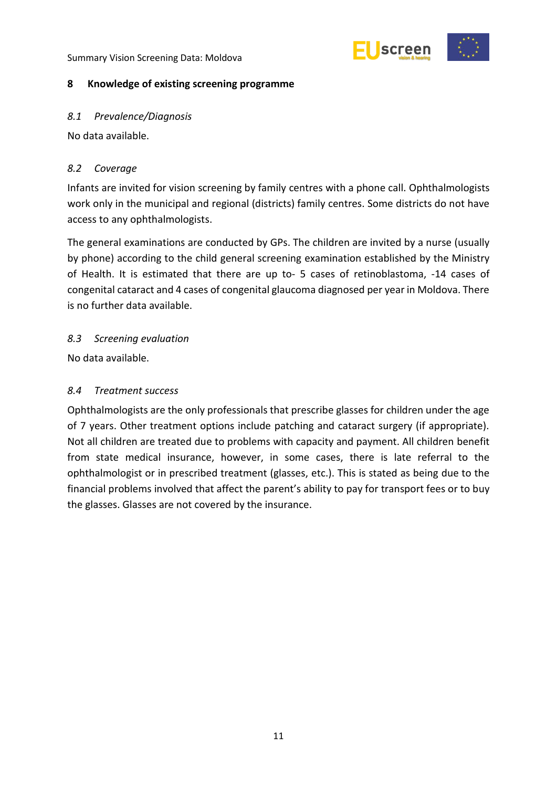

### <span id="page-16-0"></span>**8 Knowledge of existing screening programme**

### <span id="page-16-1"></span>*8.1 Prevalence/Diagnosis*

No data available.

### <span id="page-16-2"></span>*8.2 Coverage*

Infants are invited for vision screening by family centres with a phone call. Ophthalmologists work only in the municipal and regional (districts) family centres. Some districts do not have access to any ophthalmologists.

The general examinations are conducted by GPs. The children are invited by a nurse (usually by phone) according to the child general screening examination established by the Ministry of Health. It is estimated that there are up to- 5 cases of retinoblastoma, -14 cases of congenital cataract and 4 cases of congenital glaucoma diagnosed per year in Moldova. There is no further data available.

### <span id="page-16-3"></span>*8.3 Screening evaluation*

No data available.

### <span id="page-16-4"></span>*8.4 Treatment success*

Ophthalmologists are the only professionals that prescribe glasses for children under the age of 7 years. Other treatment options include patching and cataract surgery (if appropriate). Not all children are treated due to problems with capacity and payment. All children benefit from state medical insurance, however, in some cases, there is late referral to the ophthalmologist or in prescribed treatment (glasses, etc.). This is stated as being due to the financial problems involved that affect the parent's ability to pay for transport fees or to buy the glasses. Glasses are not covered by the insurance.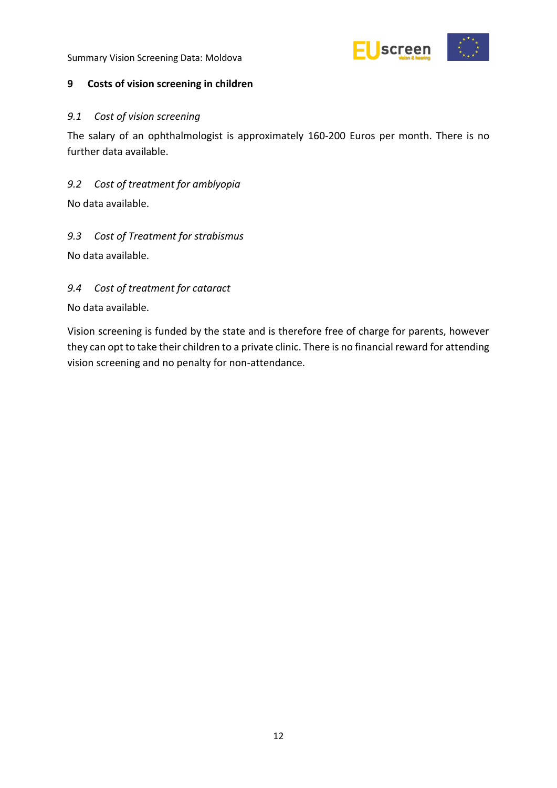

### <span id="page-17-0"></span>**9 Costs of vision screening in children**

### <span id="page-17-1"></span>*9.1 Cost of vision screening*

The salary of an ophthalmologist is approximately 160-200 Euros per month. There is no further data available.

# <span id="page-17-2"></span>*9.2 Cost of treatment for amblyopia*

No data available.

# <span id="page-17-3"></span>*9.3 Cost of Treatment for strabismus*

No data available.

# <span id="page-17-4"></span>*9.4 Cost of treatment for cataract*

No data available.

Vision screening is funded by the state and is therefore free of charge for parents, however they can opt to take their children to a private clinic. There is no financial reward for attending vision screening and no penalty for non-attendance.